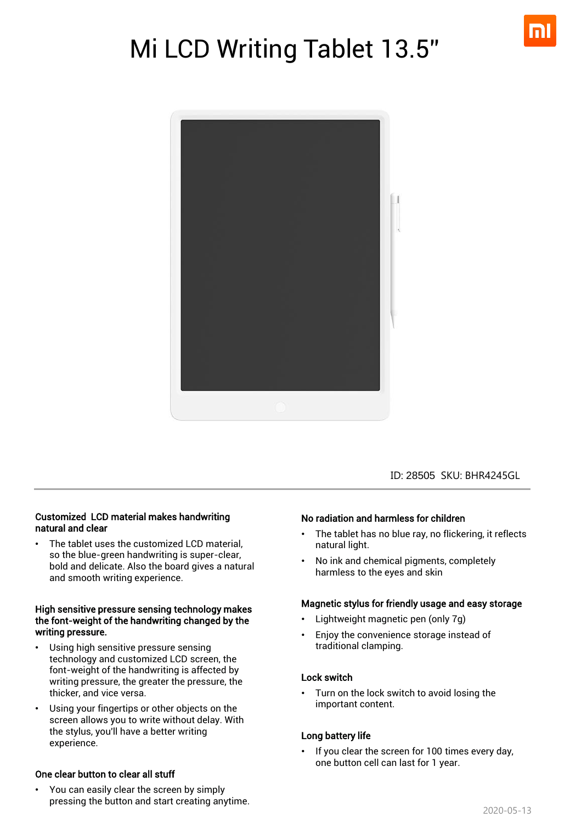

# Mi LCD Writing Tablet 13.5''



ID: 28505 SKU: BHR4245GL

#### Customized LCD material makes handwriting natural and clear

The tablet uses the customized LCD material, so the blue-green handwriting is super-clear, bold and delicate. Also the board gives a natural and smooth writing experience.

#### High sensitive pressure sensing technology makes the font-weight of the handwriting changed by the writing pressure.

- Using high sensitive pressure sensing technology and customized LCD screen, the font-weight of the handwriting is affected by writing pressure, the greater the pressure, the thicker, and vice versa.
- Using your fingertips or other objects on the screen allows you to write without delay. With the stylus, you'll have a better writing experience.

#### One clear button to clear all stuff

• You can easily clear the screen by simply pressing the button and start creating anytime.

#### No radiation and harmless for children

- The tablet has no blue ray, no flickering, it reflects natural light.
- No ink and chemical pigments, completely harmless to the eyes and skin

#### Magnetic stylus for friendly usage and easy storage

- Lightweight magnetic pen (only 7g)
- Enjoy the convenience storage instead of traditional clamping.

#### Lock switch

• Turn on the lock switch to avoid losing the important content.

#### Long battery life

If you clear the screen for 100 times every day, one button cell can last for 1 year.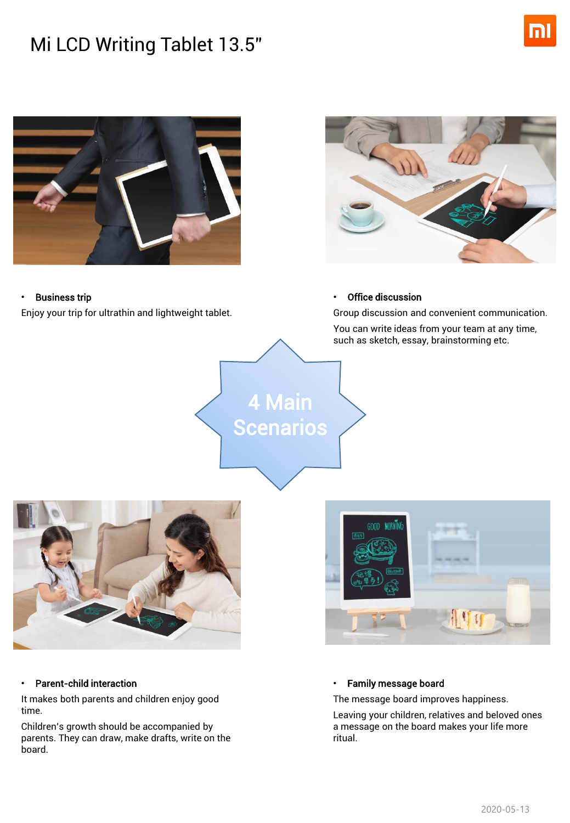# Mi LCD Writing Tablet 13.5''





#### • Business trip

Enjoy your trip for ultrathin and lightweight tablet.



#### **Office discussion**

4 Main

**Scenarios** 

Group discussion and convenient communication. You can write ideas from your team at any time,

such as sketch, essay, brainstorming etc.





#### • Parent-child interaction

It makes both parents and children enjoy good time.

Children's growth should be accompanied by parents. They can draw, make drafts, write on the board.

#### • Family message board

The message board improves happiness.

Leaving your children, relatives and beloved ones a message on the board makes your life more ritual.